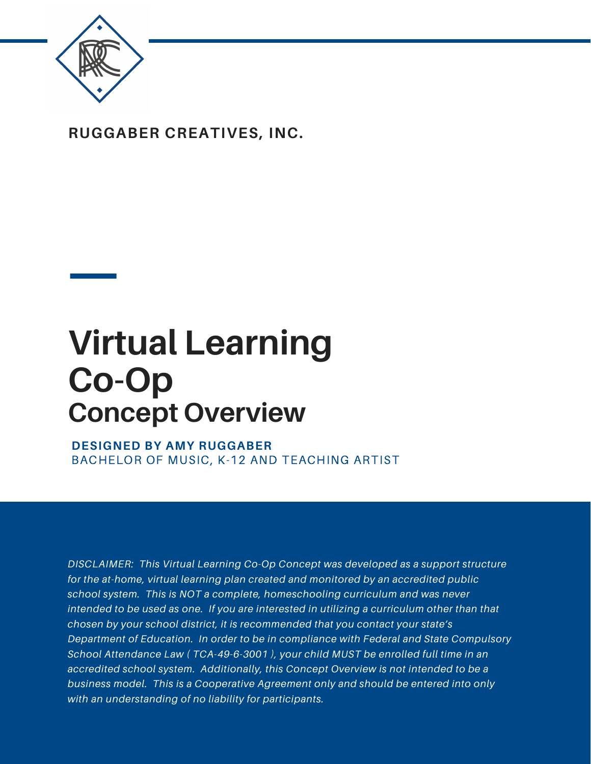

**RUGGABER CREATIVES, INC.**

# **Virtual Learning Co-Op Concept Overview**

**DESIGNED BY AMY RUGGABER** BACHELOR OF MUSIC, K-12 AND TEACHING ARTIST

*DISCLAIMER: This Virtual Learning Co-Op Concept was developed as a support structure for the at-home, virtual learning plan created and monitored by an accredited public school system. This is NOT a complete, homeschooling curriculum and was never intended to be used as one. If you are interested in utilizing a curriculum other than that chosen by your school district, it is recommended that you contact your state's Department of Education. In order to be in compliance with Federal and State Compulsory School Attendance Law ( TCA-49-6-3001 ), your child MUST be enrolled full time in an accredited school system. Additionally, this Concept Overview is not intended to be a business model. This is a Cooperative Agreement only and should be entered into only with an understanding of no liability for participants.*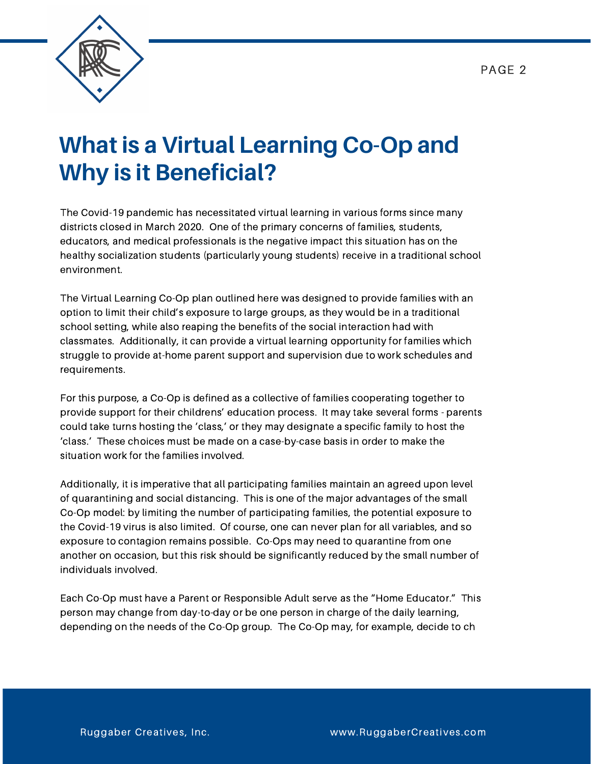

### **What is a Virtual Learning Co-Op and Why is it Beneficial?**

The Covid-19 pandemic has necessitated virtual learning in various forms since many districts closed in March 2020. One of the primary concerns of families, students, educators, and medical professionals is the negative impact this situation has on the healthy socialization students (particularly young students) receive in a traditional school environment.

The Virtual Learning Co-Op plan outlined here was designed to provide families with an option to limit their child's exposure to large groups, as they would be in a traditional school setting, while also reaping the benefits of the social interaction had with classmates. Additionally, it can provide a virtual learning opportunity for families which struggle to provide at-home parent support and supervision due to work schedules and requirements.

For this purpose, a Co-Op is defined as a collective of families cooperating together to provide support for their childrens' education process. It may take several forms - parents could take turns hosting the 'class,' or they may designate a specific family to host the 'class.' These choices must be made on a case-by-case basis in order to make the situation work for the families involved.

Additionally, it is imperative that all participating families maintain an agreed upon level of quarantining and social distancing. This is one of the major advantages of the small Co-Op model: by limiting the number of participating families, the potential exposure to the Covid-19 virus is also limited. Of course, one can never plan for all variables, and so exposure to contagion remains possible. Co-Ops may need to quarantine from one another on occasion, but this risk should be significantly reduced by the small number of individuals involved.

Each Co-Op must have a Parent or Responsible Adult serve as the "Home Educator." This person may change from day-to-day or be one person in charge of the daily learning, depending on the needs of the Co-Op group. The Co-Op may, for example, decide to ch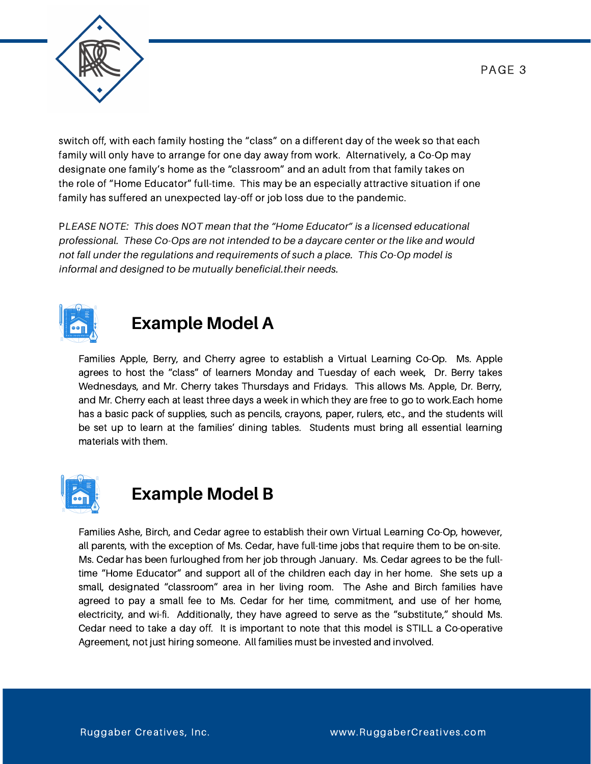

switch off, with each family hosting the "class" on a different day of the week so that each family will only have to arrange for one day away from work. Alternatively, a Co-Op may designate one family's home as the "classroom" and an adult from that family takes on the role of "Home Educator" full-time. This may be an especially attractive situation if one family has suffered an unexpected lay-off or job loss due to the pandemic.

P*LEASE NOTE: This does NOT mean that the "Home Educator" is a licensed educational professional. These Co-Ops are not intended to be a daycare center or the like and would not fall under the regulations and requirements of such a place. This Co-Op model is informal and designed to be mutually beneficial.their needs.*



#### **Example Model A**

Families Apple, Berry, and Cherry agree to establish a Virtual Learning Co-Op. Ms. Apple agrees to host the "class" of learners Monday and Tuesday of each week, Dr. Berry takes Wednesdays, and Mr. Cherry takes Thursdays and Fridays. This allows Ms. Apple, Dr. Berry, and Mr. Cherry each at least three days a week in which they are free to go to work.Each home has a basic pack of supplies, such as pencils, crayons, paper, rulers, etc., and the students will be set up to learn at the families' dining tables. Students must bring all essential learning materials with them.



#### **Example Model B**

Families Ashe, Birch, and Cedar agree to establish their own Virtual Learning Co-Op, however, all parents, with the exception of Ms. Cedar, have full-time jobs that require them to be on-site. Ms. Cedar has been furloughed from her job through January. Ms. Cedar agrees to be the fulltime "Home Educator" and support all of the children each day in her home. She sets up a small, designated "classroom" area in her living room. The Ashe and Birch families have agreed to pay a small fee to Ms. Cedar for her time, commitment, and use of her home, electricity, and wi-fi. Additionally, they have agreed to serve as the "substitute," should Ms. Cedar need to take a day off. It is important to note that this model is STILL a Co-operative Agreement, not just hiring someone. All families must be invested and involved.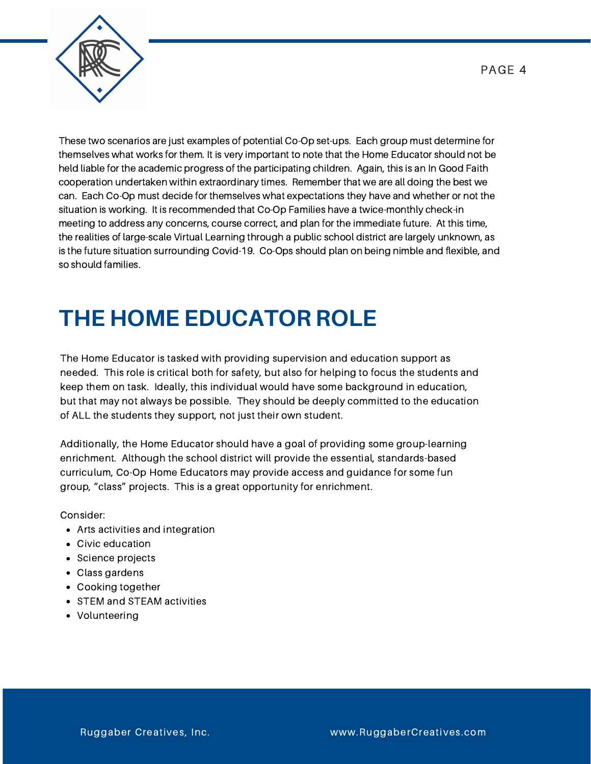

These two scenarios are just examples of potential Co-Op set-ups. Each group must determine for themselves what works for them. It is very important to note that the Home Educator should not be held liable for the academic progress of the participating children. Again, this is an In Good Faith cooperation undertaken within extraordinary times. Remember that we are all doing the best we can. Each Co-Op must decide for themselves what expectations they have and whether or not the situation is working. It is recommended that Co-Op Families have a twice-monthly check-in meeting to address any concerns, course correct, and plan for the immediate future. At this time, the realities of large-scale Virtual Learning through a public school district are largely unknown, as is the future situation surrounding Covid-19. Co-Ops should plan on being nimble and flexible, and so should families.

## **THE HOME EDUCATOR ROLE**

The Home Educator is tasked with providing supervision and education support as needed. This role is critical both for safety, but also for helping to focus the students and keep them on task. Ideally, this individual would have some background in education, but that may not always be possible. They should be deeply committed to the education of ALL the students they support, not just their own student.

Additionally, the Home Educator should have a goal of providing some group-learning enrichment. Although the school district will provide the essential, standards-based curriculum, Co-Op Home Educators may provide access and guidance for some fun group, "class" projects. This is a great opportunity for enrichment.

Consider:

- Arts activities and integration
- Civic education
- Science projects
- Class gardens
- Cooking together
- STEM and STEAM activities
- Volunteering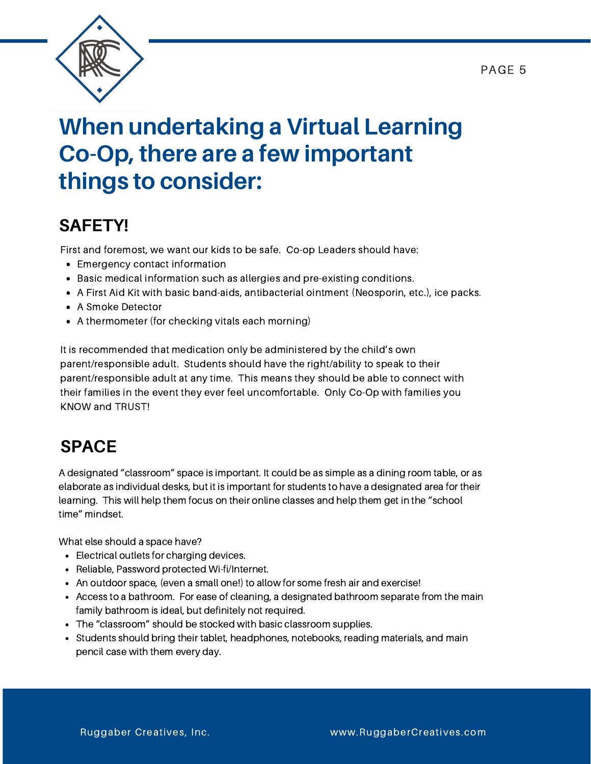PAGE 5



### **When undertaking a Virtual Learning Co-Op, there are a few important things to consider:**

#### **SAFETY!**

First and foremost, we want our kids to be safe. Co-op Leaders should have:

- Emergency contact information
- Basic medical information such as allergies and pre-existing conditions.
- A First Aid Kit with basic band-aids, antibacterial ointment (Neosporin, etc.), ice packs.
- A Smoke Detector
- A thermometer (for checking vitals each morning)

It is recommended that medication only be administered by the child's own parent/responsible adult. Students should have the right/ability to speak to their parent/responsible adult at any time. This means they should be able to connect with their families in the event they ever feel uncomfortable. Only Co-Op with families you KNOW and TRUST!

#### **SPACE**

A designated "classroom" space is important. It could be as simple as a dining room table, or as elaborate as individual desks, but it is important for students to have a designated area for their learning. This will help them focus on their online classes and help them get in the "school time" mindset.

What else should a space have?

- Electrical outlets for charging devices.
- Reliable, Password protected Wi-fi/Internet.
- An outdoor space, (even a small one!) to allow for some fresh air and exercise!
- Access to a bathroom. For ease of cleaning, a designated bathroom separate from the main family bathroom is ideal, but definitely not required.
- The "classroom" should be stocked with basic classroom supplies.
- Students should bring their tablet, headphones, notebooks, reading materials, and main pencil case with them every day.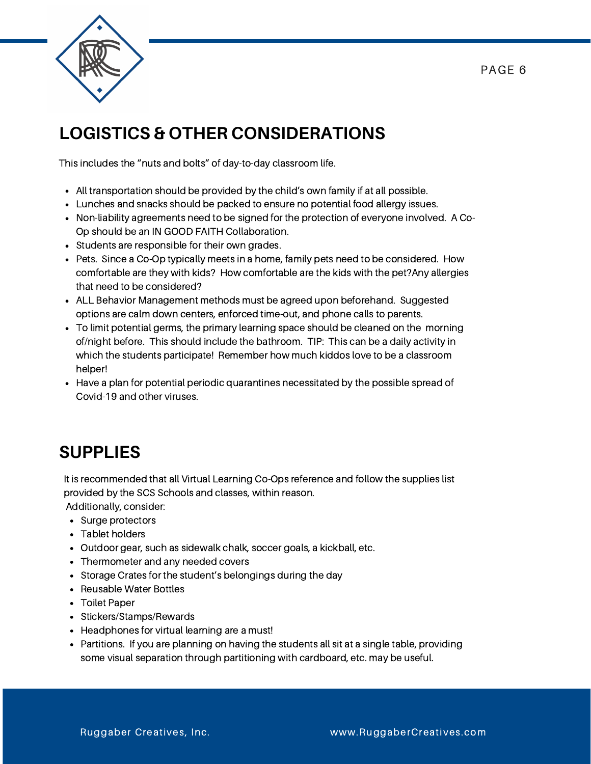

#### **LOGISTICS & OTHER CONSIDERATIONS**

This includes the "nuts and bolts" of day-to-day classroom life.

- All transportation should be provided by the child's own family if at all possible.
- Lunches and snacks should be packed to ensure no potential food allergy issues.
- Non-liability agreements need to be signed for the protection of everyone involved. A Co-Op should be an IN GOOD FAITH Collaboration.
- Students are responsible for their own grades.
- Pets. Since a Co-Op typically meets in a home, family pets need to be considered. How comfortable are they with kids? How comfortable are the kids with the pet?Any allergies that need to be considered?
- ALL Behavior Management methods must be agreed upon beforehand. Suggested options are calm down centers, enforced time-out, and phone calls to parents.
- To limit potential germs, the primary learning space should be cleaned on the morning of/night before. This should include the bathroom. TIP: This can be a daily activity in which the students participate! Remember how much kiddos love to be a classroom helper!
- Have a plan for potential periodic quarantines necessitated by the possible spread of Covid-19 and other viruses.

#### **SUPPLIES**

It is recommended that all Virtual Learning Co-Ops reference and follow the supplies list provided by the SCS Schools and classes, within reason.

Additionally, consider:

- Surge protectors
- Tablet holders
- Outdoor gear, such as sidewalk chalk, soccer goals, a kickball, etc.
- Thermometer and any needed covers
- Storage Crates for the student's belongings during the day
- Reusable Water Bottles
- Toilet Paper
- Stickers/Stamps/Rewards
- Headphones for virtual learning are a must!
- Partitions. If you are planning on having the students all sit at a single table, providing some visual separation through partitioning with cardboard, etc. may be useful.